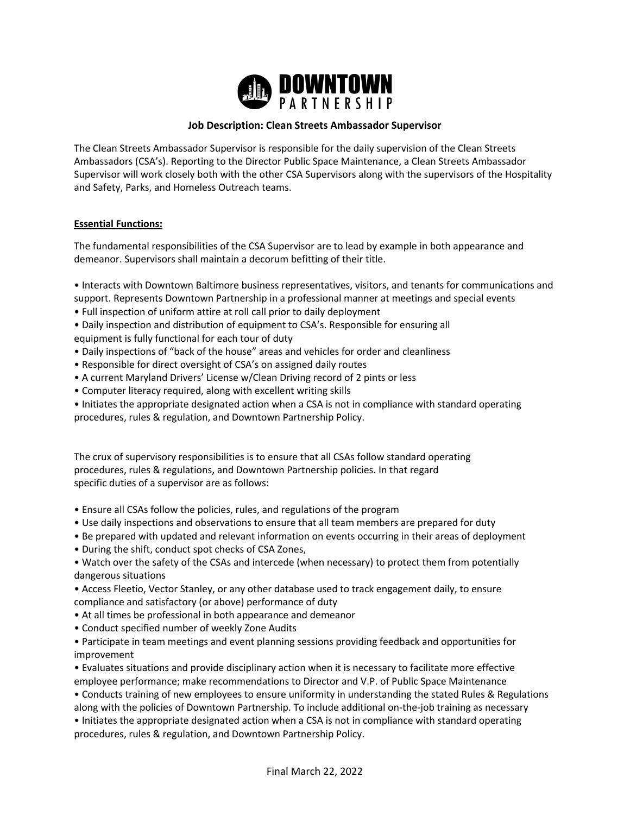

# **Job Description: Clean Streets Ambassador Supervisor**

The Clean Streets Ambassador Supervisor is responsible for the daily supervision of the Clean Streets Ambassadors (CSA's). Reporting to the Director Public Space Maintenance, a Clean Streets Ambassador Supervisor will work closely both with the other CSA Supervisors along with the supervisors of the Hospitality and Safety, Parks, and Homeless Outreach teams.

## **Essential Functions:**

The fundamental responsibilities of the CSA Supervisor are to lead by example in both appearance and demeanor. Supervisors shall maintain a decorum befitting of their title.

- Interacts with Downtown Baltimore business representatives, visitors, and tenants for communications and support. Represents Downtown Partnership in a professional manner at meetings and special events
- Full inspection of uniform attire at roll call prior to daily deployment
- Daily inspection and distribution of equipment to CSA's. Responsible for ensuring all
- equipment is fully functional for each tour of duty
- Daily inspections of "back of the house" areas and vehicles for order and cleanliness
- Responsible for direct oversight of CSA's on assigned daily routes
- A current Maryland Drivers' License w/Clean Driving record of 2 pints or less
- Computer literacy required, along with excellent writing skills
- Initiates the appropriate designated action when a CSA is not in compliance with standard operating procedures, rules & regulation, and Downtown Partnership Policy.

The crux of supervisory responsibilities is to ensure that all CSAs follow standard operating procedures, rules & regulations, and Downtown Partnership policies. In that regard specific duties of a supervisor are as follows:

- Ensure all CSAs follow the policies, rules, and regulations of the program
- Use daily inspections and observations to ensure that all team members are prepared for duty
- Be prepared with updated and relevant information on events occurring in their areas of deployment
- During the shift, conduct spot checks of CSA Zones,
- Watch over the safety of the CSAs and intercede (when necessary) to protect them from potentially dangerous situations
- Access Fleetio, Vector Stanley, or any other database used to track engagement daily, to ensure compliance and satisfactory (or above) performance of duty
- At all times be professional in both appearance and demeanor
- Conduct specified number of weekly Zone Audits

• Participate in team meetings and event planning sessions providing feedback and opportunities for improvement

• Evaluates situations and provide disciplinary action when it is necessary to facilitate more effective employee performance; make recommendations to Director and V.P. of Public Space Maintenance

• Conducts training of new employees to ensure uniformity in understanding the stated Rules & Regulations along with the policies of Downtown Partnership. To include additional on-the-job training as necessary

• Initiates the appropriate designated action when a CSA is not in compliance with standard operating procedures, rules & regulation, and Downtown Partnership Policy.